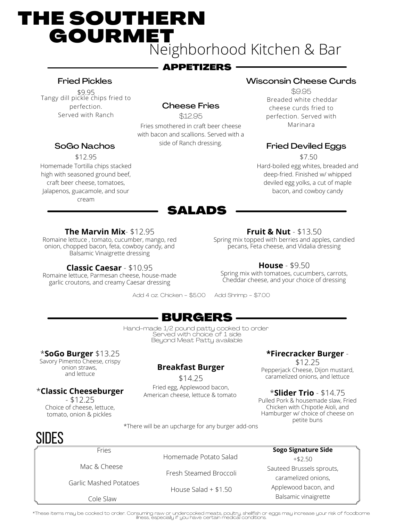# THE SOUTHERN GOURMET Neighborhood Kitchen & Bar

# APPETIZERS

#### Fried Pickles

\$9.95 Tangy dill pickle chips fried to perfection. Served with Ranch

SoGo Nachos \$12.95 Homemade Tortilla chips stacked high with seasoned ground beef, craft beer cheese, tomatoes, Jalapenos, guacamole, and sour cream

## Cheese Fries

\$12.95 Fries smothered in craft beer cheese with bacon and scallions. Served with a side of Ranch dressing.

#### Wisconsin Cheese Curds

\$9.95 Breaded white cheddar cheese curds fried to perfection. Served with Marinara

#### Fried Deviled Eggs

\$7.50 Hard-boiled egg whites, breaded and deep-fried. Finished w/ whipped deviled egg yolks, a cut of maple bacon, and cowboy candy

#### **The Marvin Mix**- \$12.95

Romaine lettuce , tomato, cucumber, mango, red onion, chopped bacon, feta, cowboy candy, and Balsamic Vinaigrette dressing

#### **Classic Caesar** - \$10.95

Romaine lettuce, Parmesan cheese, house-made garlic croutons, and creamy Caesar dressing

Add 4 oz. Chicken - \$5.00 Add Shrimp - \$7.00

SALADS

#### **Fruit & Nut** - \$13.50

Spring mix topped with berries and apples, candied pecans, Feta cheese, and Vidalia dressing

#### **House** - \$9.50

Spring mix with tomatoes, cucumbers, carrots, Cheddar cheese, and your choice of dressing

# BURGERS

Hand-made 1/2 pound patty cooked to order Served with choice of 1 side Beyond Meat Patty available

#### \***SoGo Burger** \$13.25

Savory Pimento Cheese, crispy onion straws, and lettuce

#### \***Classic Cheeseburger**

 $- $12.25$ Choice of cheese, lettuce, tomato, onion & pickles

Fries

Mac & Cheese

Cole Slaw

#### **Breakfast Burger**

\$14.25 Fried egg, Applewood bacon, American cheese, lettuce & tomato

#### **\*Firecracker Burger** -

\$12.25 Pepperjack Cheese, Dijon mustard, caramelized onions, and lettuce

#### \***Slider Trio** - \$14.75

Pulled Pork & housemade slaw, Fried Chicken with Chipotle Aioli, and Hamburger w/ choice of cheese on petite buns

+\$2.50

# **SIDES**

Homemade Potato Salad Fresh Steamed Broccoli House Salad + \$1.50 **Sogo Signature Side** Sauteed Brussels sprouts, caramelized onions, Applewood bacon, and Balsamic vinaigrette Garlic Mashed Potatoes

\*These items may be cooked to order. Consuming raw or undercooked meats, poultry, shellfish or eggs may increase your risk of foodborne illness, especially if you have certain medical conditions.

\*There will be an upcharge for any burger add-ons